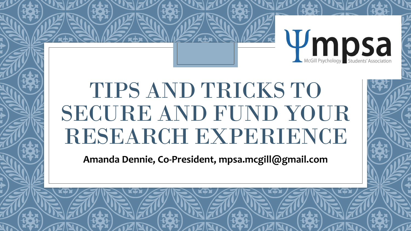

# TIPS AND TRICKS TO SECURE AND FUND YOUR RESEARCH EXPERIENCE

**Amanda Dennie, Co-President, mpsa.mcgill@gmail.com**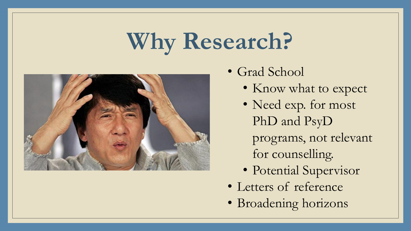# **Why Research?**



- Grad School
	- Know what to expect
	- Need exp. for most PhD and PsyD programs, not relevant for counselling.
	- Potential Supervisor
- Letters of reference
- Broadening horizons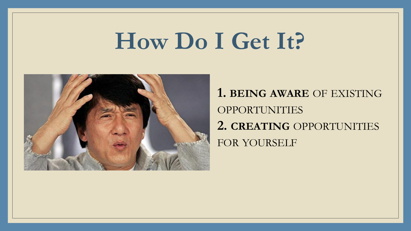# **How Do I Get It?**



**1. BEING AWARE** OF EXISTING OPPORTUNITIES **2. CREATING** OPPORTUNITIES FOR YOURSELF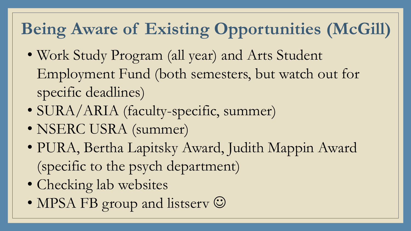## **Being Aware of Existing Opportunities (McGill)**

- Work Study Program (all year) and Arts Student Employment Fund (both semesters, but watch out for specific deadlines)
- SURA/ARIA (faculty-specific, summer)
- NSERC USRA (summer)
- PURA, Bertha Lapitsky Award, Judith Mappin Award (specific to the psych department)
- Checking lab websites
- MPSA FB group and listserv  $\odot$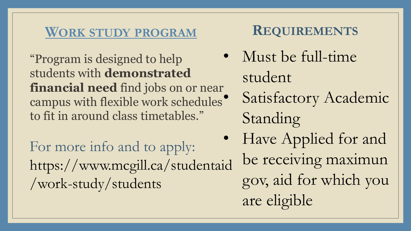#### **WORK STUDY PROGRAM**

"Program is designed to help students with **demonstrated financial need** find jobs on or near campus with flexible work schedules to fit in around class timetables."

For more info and to apply: https://www.mcgill.ca/studentaid /work-study/students

#### **REQUIREMENTS**

- Must be full-time student
	- Satisfactory Academic Standing
- Have Applied for and be receiving maximun gov, aid for which you are eligible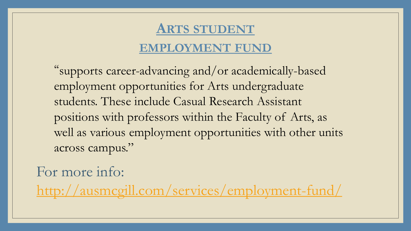#### **ARTS STUDENT**

#### **EMPLOYMENT FUND**

"supports career-advancing and/or academically-based employment opportunities for Arts undergraduate students. These include Casual Research Assistant positions with professors within the Faculty of Arts, as well as various employment opportunities with other units across campus."

For more info:

<http://ausmcgill.com/services/employment-fund/>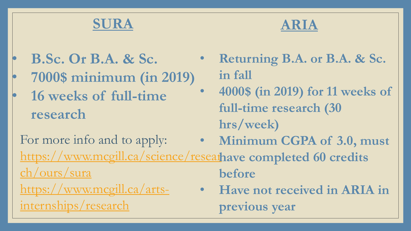### **SURA**



- **B.Sc. Or B.A. & Sc.**
- **7000\$ minimum (in 2019)**
- **16 weeks of full-time research**
- **Returning B.A. or B.A. & Sc. in fall**
- **4000\$ (in 2019) for 11 weeks of full-time research (30 hrs/week)**

For more info and to apply: [https://www.mcgill.ca/science/resear](https://www.mcgill.ca/science/research/ours/sura) **have completed 60 credits**  ch/ours/sura [https://www.mcgill.ca/arts](https://www.mcgill.ca/arts-internships/research)internships/research • **Minimum CGPA of 3.0, must before** • **Have not received in ARIA in previous year**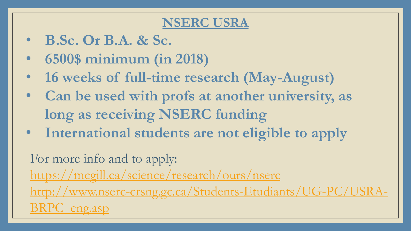#### **NSERC USRA**

- **B.Sc. Or B.A. & Sc.**
- **6500\$ minimum (in 2018)**
- **16 weeks of full-time research (May-August)**
- **Can be used with profs at another university, as long as receiving NSERC funding**
- **International students are not eligible to apply**

For more info and to apply:

<https://mcgill.ca/science/research/ours/nserc>

[http://www.nserc-crsng.gc.ca/Students-Etudiants/UG-PC/USRA-](http://www.nserc-crsng.gc.ca/Students-Etudiants/UG-PC/USRA-BRPC_eng.asp)BRPC\_eng.asp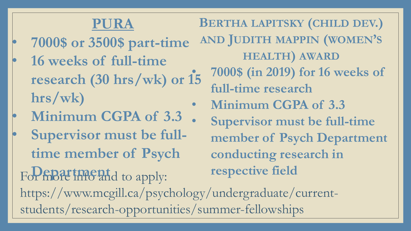## **PURA**

- **7000\$ or 3500\$ part-time**
- **16 weeks of full-time research (30 hrs/wk) or 15 hrs/wk)**
- **Minimum CGPA of 3.3**
- **Supervisor must be fulltime member of Psych**

For more info and to apply:

**Department**

**BERTHA LAPITSKY (CHILD DEV.) AND JUDITH MAPPIN (WOMEN'S HEALTH) AWARD** • **7000\$ (in 2019) for 16 weeks of full-time research**  • **Minimum CGPA of 3.3** • **Supervisor must be full-time** 

**member of Psych Department conducting research in respective field**

https://www.mcgill.ca/psychology/undergraduate/currentstudents/research-opportunities/summer-fellowships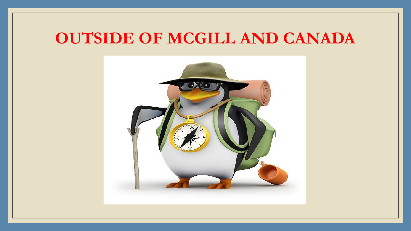## **OUTSIDE OF MCGILL AND CANADA**

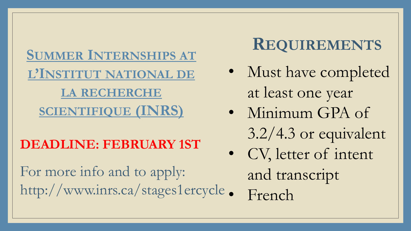**SUMMER INTERNSHIPS AT L'INSTITUT NATIONAL DE LA RECHERCHE SCIENTIFIQUE (INRS)**

#### **DEADLINE: FEBRUARY 1ST**

For more info and to apply: http://www.inrs.ca/stages1ercycle.

## **REQUIREMENTS**

- Must have completed at least one year
- Minimum GPA of 3.2/4.3 or equivalent
- CV, letter of intent and transcript • French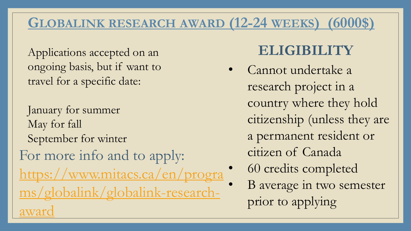### **GLOBALINK RESEARCH AWARD (12-24 WEEKS) (6000\$)**

Applications accepted on an ongoing basis, but if want to travel for a specific date:

For more info and to apply: https://www.mitacs.ca/en/progra [ms/globalink/globalink-research](https://www.mitacs.ca/en/programs/globalink/globalink-research-award)award January for summer May for fall September for winter

### **ELIGIBILITY**

- Cannot undertake a research project in a country where they hold citizenship (unless they are a permanent resident or citizen of Canada
- 60 credits completed
- B average in two semester prior to applying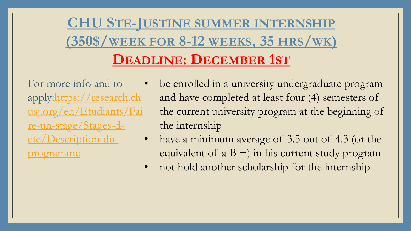**CHU STE-JUSTINE SUMMER INTERNSHIP (350\$/WEEK FOR 8-12 WEEKS, 35 HRS/WK) DEADLINE: DECEMBER 1ST**

For more info and to apply:https://research.ch [usj.org/en/Etudiants/Fai](https://research.chusj.org/en/Etudiants/Faire-un-stage/Stages-d-ete/Description-du-programme) re-un-stage/Stages-dete/Description-duprogramme

- be enrolled in a university undergraduate program and have completed at least four (4) semesters of the current university program at the beginning of the internship
- have a minimum average of 3.5 out of 4.3 (or the equivalent of  $a B +$ ) in his current study program
- not hold another scholarship for the internship.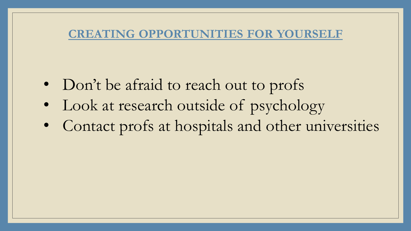#### **CREATING OPPORTUNITIES FOR YOURSELF**

- Don't be afraid to reach out to profs
- Look at research outside of psychology
- Contact profs at hospitals and other universities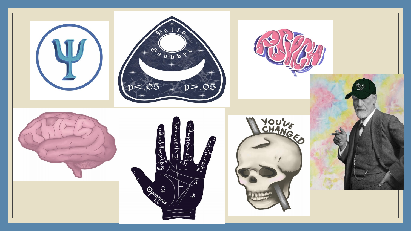